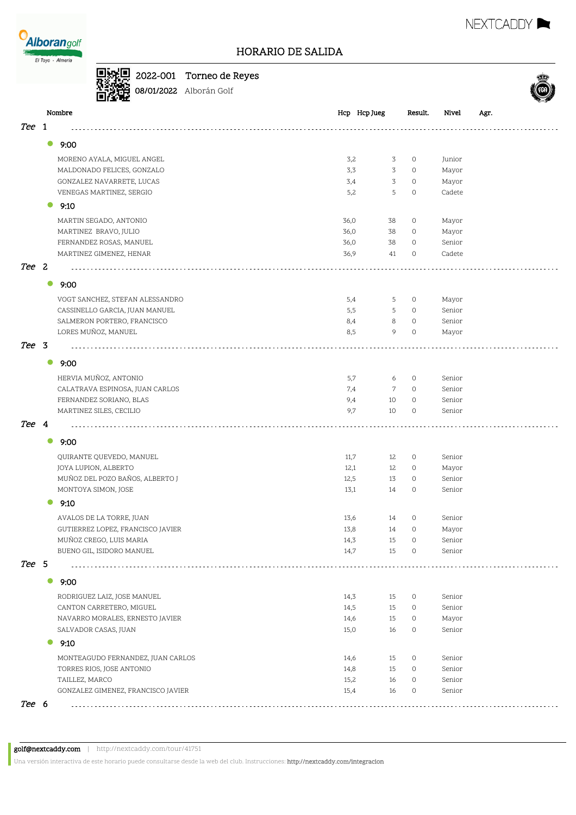



**08/01/2022** Alborán Golf



|       | Nombre                             | Hcp Hcp Jueg         | Result.            | Nivel           | Agr. |
|-------|------------------------------------|----------------------|--------------------|-----------------|------|
| Tee 1 |                                    |                      |                    |                 |      |
|       | 9:00<br>$\bullet$                  |                      |                    |                 |      |
|       |                                    |                      |                    |                 |      |
|       | MORENO AYALA, MIGUEL ANGEL         | 3,2<br>3             | $\circ$            | Junior          |      |
|       | MALDONADO FELICES, GONZALO         | 3<br>3,3             | $\circ$            | Mayor           |      |
|       | GONZALEZ NAVARRETE, LUCAS          | 3<br>3,4<br>5<br>5,2 | $\circ$<br>$\circ$ | Mayor<br>Cadete |      |
|       | VENEGAS MARTINEZ, SERGIO           |                      |                    |                 |      |
|       | 9:10                               |                      |                    |                 |      |
|       | MARTIN SEGADO, ANTONIO             | 36,0<br>38           | $\circ$            | Mayor           |      |
|       | MARTINEZ BRAVO, JULIO              | 36,0<br>38           | $\circ$            | Mayor           |      |
|       | FERNANDEZ ROSAS, MANUEL            | 38<br>36,0           | $\circ$            | Senior          |      |
|       | MARTINEZ GIMENEZ, HENAR            | 36,9<br>41           | $\circ$            | Cadete          |      |
| Tee 2 |                                    |                      |                    |                 |      |
|       | $\bullet$<br>9:00                  |                      |                    |                 |      |
|       | VOGT SANCHEZ, STEFAN ALESSANDRO    | 5,4<br>5             | 0                  | Mayor           |      |
|       | CASSINELLO GARCIA, JUAN MANUEL     | 5,5<br>5             | 0                  | Senior          |      |
|       | SALMERON PORTERO, FRANCISCO        | 8<br>8,4             | $\circ$            | Senior          |      |
|       | LORES MUÑOZ, MANUEL                | 9<br>8,5             | $\circ$            | Mayor           |      |
| Tee 3 |                                    |                      |                    |                 |      |
|       | $\bullet$<br>9:00                  |                      |                    |                 |      |
|       | HERVIA MUÑOZ, ANTONIO              | 5,7<br>6             | 0                  | Senior          |      |
|       | CALATRAVA ESPINOSA, JUAN CARLOS    | 7<br>7,4             | $\circ$            | Senior          |      |
|       | FERNANDEZ SORIANO, BLAS            | 9,4<br>10            | $\circ$            | Senior          |      |
|       | MARTINEZ SILES, CECILIO            | 9,7<br>10            | $\circ$            | Senior          |      |
| Tee 4 |                                    |                      |                    |                 |      |
|       | $\bullet$<br>9:00                  |                      |                    |                 |      |
|       | QUIRANTE QUEVEDO, MANUEL           | 11,7<br>12           | $\circ$            | Senior          |      |
|       | JOYA LUPION, ALBERTO               | 12,1<br>12           | $\circ$            | Mayor           |      |
|       | MUÑOZ DEL POZO BAÑOS, ALBERTO J    | 12,5<br>13           | $\circ$            | Senior          |      |
|       | MONTOYA SIMON, JOSE                | 13,1<br>14           | $\circ$            | Senior          |      |
|       | $\bullet$<br>9:10                  |                      |                    |                 |      |
|       | AVALOS DE LA TORRE, JUAN           | 13,6<br>14           | $\circ$            | Senior          |      |
|       | GUTIERREZ LOPEZ, FRANCISCO JAVIER  | 13,8<br>14           | $\circ$            | Mayor           |      |
|       | MUÑOZ CREGO, LUIS MARIA            | 14,3<br>15           | 0                  | Senior          |      |
|       | BUENO GIL, ISIDORO MANUEL          | 14,7<br>15           | 0                  | Senior          |      |
| Tee 5 |                                    |                      |                    |                 |      |
|       | $\bullet$<br>9:00                  |                      |                    |                 |      |
|       | RODRIGUEZ LAIZ, JOSE MANUEL        | 14,3<br>15           | 0                  | Senior          |      |
|       | CANTON CARRETERO, MIGUEL           | 14,5<br>15           | 0                  | Senior          |      |
|       | NAVARRO MORALES, ERNESTO JAVIER    | 14,6<br>15           | $\circ$            | Mayor           |      |
|       | SALVADOR CASAS, JUAN               | 15,0<br>16           | 0                  | Senior          |      |
|       | 9:10                               |                      |                    |                 |      |
|       | MONTEAGUDO FERNANDEZ, JUAN CARLOS  | 14,6<br>15           | 0                  | Senior          |      |
|       | TORRES RIOS, JOSE ANTONIO          | 14,8<br>15           | 0                  | Senior          |      |
|       | TAILLEZ, MARCO                     | 15,2<br>16           | 0                  | Senior          |      |
|       | GONZALEZ GIMENEZ, FRANCISCO JAVIER | 15,4<br>16           | 0                  | Senior          |      |
| Tee 6 |                                    |                      |                    |                 |      |
|       |                                    |                      |                    |                 |      |

golf@nextcaddy.com | http://nextcaddy.com/tour/41751

Una versión interactiva de este horario puede consultarse desde la web del club. Instrucciones: http://nextcaddy.com/integracion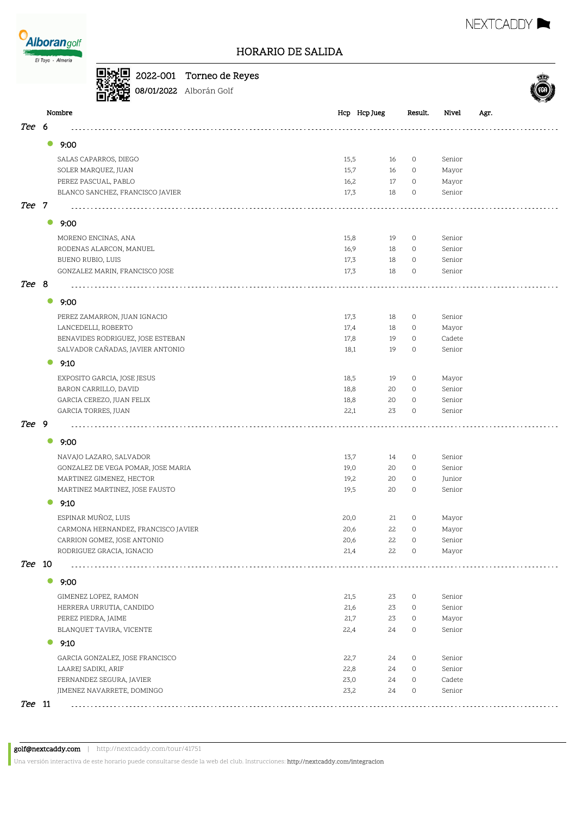



NEXTCADDY **N** 

# **回报回** 2022-001 Torneo de Reyes

08/01/2022 Alborán Golf

|       |           | Nombre                                              | Hcp Hcp Jueg             | Result.             | Nivel            | Agr. |
|-------|-----------|-----------------------------------------------------|--------------------------|---------------------|------------------|------|
| Tee   | 6         |                                                     |                          |                     |                  |      |
|       | 0         | 9:00                                                |                          |                     |                  |      |
|       |           | SALAS CAPARROS, DIEGO                               | 15,5<br>16               | $\circ$             | Senior           |      |
|       |           | SOLER MARQUEZ, JUAN                                 | 15,7<br>16               | $\circ$             | Mayor            |      |
|       |           | PEREZ PASCUAL, PABLO                                | 17<br>16,2               | $\circ$             | Mayor            |      |
|       |           | BLANCO SANCHEZ, FRANCISCO JAVIER                    | 17,3<br>18               | 0                   | Senior           |      |
| Tee 7 |           |                                                     |                          |                     |                  |      |
|       | $\bullet$ | 9:00                                                |                          |                     |                  |      |
|       |           |                                                     |                          |                     |                  |      |
|       |           | MORENO ENCINAS, ANA                                 | 15,8<br>19               | $\circ$             | Senior           |      |
|       |           | RODENAS ALARCON, MANUEL                             | 16,9<br>18               | $\circ$<br>$\circ$  | Senior           |      |
|       |           | BUENO RUBIO, LUIS<br>GONZALEZ MARIN, FRANCISCO JOSE | 17,3<br>18<br>17,3<br>18 | $\circ$             | Senior<br>Senior |      |
|       |           |                                                     |                          |                     |                  |      |
| Tee 8 |           |                                                     |                          |                     |                  |      |
|       | $\bullet$ | 9:00                                                |                          |                     |                  |      |
|       |           | PEREZ ZAMARRON, JUAN IGNACIO                        | 17,3<br>18               | $\circ$             | Senior           |      |
|       |           | LANCEDELLI, ROBERTO                                 | 17,4<br>18               | $\circ$             | Mayor            |      |
|       |           | BENAVIDES RODRIGUEZ, JOSE ESTEBAN                   | 17,8<br>19               | $\circ$             | Cadete           |      |
|       |           | SALVADOR CAÑADAS, JAVIER ANTONIO                    | 19<br>18,1               | $\circ$             | Senior           |      |
|       | 0         | 9:10                                                |                          |                     |                  |      |
|       |           | EXPOSITO GARCIA, JOSE JESUS                         | 18,5<br>19               | $\circ$             | Mayor            |      |
|       |           | BARON CARRILLO, DAVID                               | 18,8<br>20               | $\circ$             | Senior           |      |
|       |           | GARCIA CEREZO, JUAN FELIX                           | 20<br>18,8               | 0                   | Senior           |      |
|       |           | GARCIA TORRES, JUAN                                 | 22,1<br>23               | 0                   | Senior           |      |
| Tee 9 |           |                                                     |                          |                     |                  |      |
|       | $\bullet$ | 9:00                                                |                          |                     |                  |      |
|       |           | NAVAJO LAZARO, SALVADOR                             | 13,7<br>14               | $\circ$             | Senior           |      |
|       |           | GONZALEZ DE VEGA POMAR, JOSE MARIA                  | 19,0<br>20               | $\circ$             | Senior           |      |
|       |           | MARTINEZ GIMENEZ, HECTOR                            | 19,2<br>20               | $\circ$             | Junior           |      |
|       |           | MARTINEZ MARTINEZ, JOSE FAUSTO                      | 19,5<br>20               | $\circ$             | Senior           |      |
|       | 0         | 9:10                                                |                          |                     |                  |      |
|       |           | ESPINAR MUÑOZ, LUIS                                 | 20,0<br>21               | 0                   | Mayor            |      |
|       |           | CARMONA HERNANDEZ, FRANCISCO JAVIER                 | 22<br>20,6               | $\mathsf{O}\xspace$ | Mayor            |      |
|       |           | CARRION GOMEZ, JOSE ANTONIO                         | 22<br>20,6               | $\circ$             | Senior           |      |
|       |           | RODRIGUEZ GRACIA, IGNACIO                           | 22<br>21,4               | $\circ$             | Mayor            |      |
| Tee   | 10        |                                                     |                          |                     |                  |      |
|       | $\bullet$ | 9:00                                                |                          |                     |                  |      |
|       |           | GIMENEZ LOPEZ, RAMON                                | 21,5<br>23               | $\circ$             | Senior           |      |
|       |           | HERRERA URRUTIA, CANDIDO                            | 21,6<br>23               | 0                   | Senior           |      |
|       |           | PEREZ PIEDRA, JAIME                                 | 21,7<br>23               | $\circ$             | Mayor            |      |
|       |           | BLANQUET TAVIRA, VICENTE                            | 22,4<br>24               | $\circ$             | Senior           |      |
|       | 0         | 9:10                                                |                          |                     |                  |      |
|       |           | GARCIA GONZALEZ, JOSE FRANCISCO                     | 22,7<br>24               | $\circ$             | Senior           |      |
|       |           | LAAREJ SADIKI, ARIF                                 | 22,8<br>24               | 0                   | Senior           |      |
|       |           | FERNANDEZ SEGURA, JAVIER                            | 23,0<br>24               | 0                   | Cadete           |      |
|       |           | JIMENEZ NAVARRETE, DOMINGO                          | 23,2<br>24               | 0                   | Senior           |      |
| Tee   | 11        | .                                                   |                          |                     |                  |      |

Una versión interactiva de este horario puede consultarse desde la web del club. Instrucciones: http://nextcaddy.com/integracion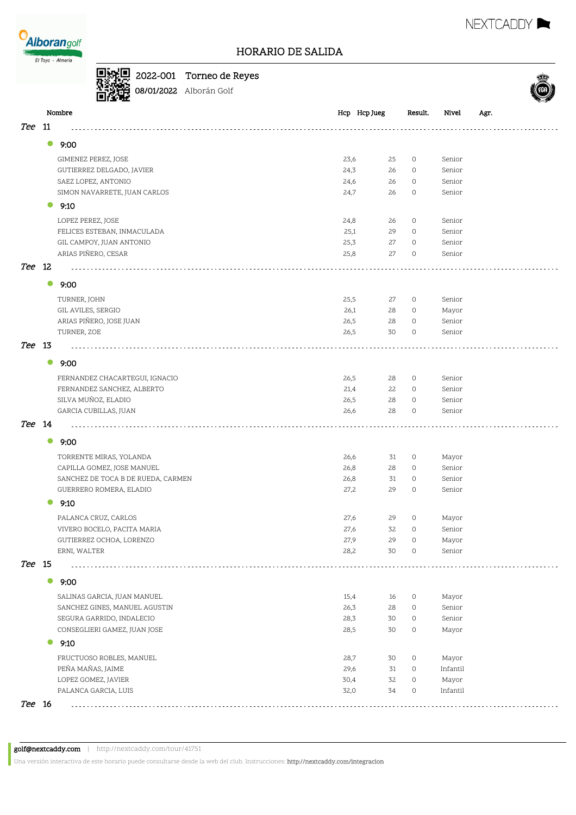

2022-001 Torneo de Reyes **08/01/2022** Alborán Golf

|        |           | Nombre                             | Hcp Hcp Jueg | Result.                   | Nivel    | Agr. |
|--------|-----------|------------------------------------|--------------|---------------------------|----------|------|
| Tee    | 11        |                                    |              |                           |          |      |
|        | $\bullet$ | 9:00                               |              |                           |          |      |
|        |           | GIMENEZ PEREZ, JOSE                | 23,6         | 25<br>$\circ$             | Senior   |      |
|        |           | GUTIERREZ DELGADO, JAVIER          | 24,3         | 26<br>0                   | Senior   |      |
|        |           | SAEZ LOPEZ, ANTONIO                | 24,6         | 26<br>$\circ$             | Senior   |      |
|        |           | SIMON NAVARRETE, JUAN CARLOS       | 24,7         | 26<br>$\circ$             | Senior   |      |
|        |           | 9:10                               |              |                           |          |      |
|        |           | LOPEZ PEREZ, JOSE                  | 24,8         | 26<br>$\circ$             | Senior   |      |
|        |           | FELICES ESTEBAN, INMACULADA        | 25,1         | 29<br>$\circ$             | Senior   |      |
|        |           | GIL CAMPOY, JUAN ANTONIO           | 25,3         | 27<br>$\circ$             | Senior   |      |
|        |           | ARIAS PIÑERO, CESAR                | 25,8         | 27<br>0                   | Senior   |      |
| Tee 12 |           |                                    |              |                           |          |      |
|        | $\bullet$ | 9:00                               |              |                           |          |      |
|        |           | TURNER, JOHN                       | 25,5         | 27<br>0                   | Senior   |      |
|        |           | GIL AVILES, SERGIO                 | 26,1         | 28<br>$\circ$             | Mayor    |      |
|        |           | ARIAS PIÑERO, JOSE JUAN            | 26,5         | 28<br>0                   | Senior   |      |
|        |           | TURNER, ZOE                        | 26,5         | 30<br>$\circ$             | Senior   |      |
| Tee 13 |           |                                    |              |                           |          |      |
|        | $\bullet$ | 9:00                               |              |                           |          |      |
|        |           | FERNANDEZ CHACARTEGUI, IGNACIO     | 26,5         | 28<br>$\circ$             | Senior   |      |
|        |           | FERNANDEZ SANCHEZ, ALBERTO         | 21,4         | 22<br>$\circ$             | Senior   |      |
|        |           | SILVA MUÑOZ, ELADIO                | 26,5         | 28<br>$\circ$             | Senior   |      |
|        |           | GARCIA CUBILLAS, JUAN              | 26,6         | 28<br>$\circ$             | Senior   |      |
| Tee 14 |           |                                    |              |                           |          |      |
|        | $\bullet$ | 9:00                               |              |                           |          |      |
|        |           | TORRENTE MIRAS, YOLANDA            | 26,6         | 31<br>0                   | Mayor    |      |
|        |           | CAPILLA GOMEZ, JOSE MANUEL         | 26,8         | 28<br>0                   | Senior   |      |
|        |           | SANCHEZ DE TOCA B DE RUEDA, CARMEN | 26,8         | 31<br>$\circ$             | Senior   |      |
|        |           | GUERRERO ROMERA, ELADIO            | 27,2         | 29<br>$\circ$             | Senior   |      |
|        | 0         | 9:10                               |              |                           |          |      |
|        |           | PALANCA CRUZ, CARLOS               | 27,6         | 29<br>$\circ$             | Mayor    |      |
|        |           | VIVERO BOCELO, PACITA MARIA        | 27,6         | 32<br>$\circ$             | Senior   |      |
|        |           | GUTIERREZ OCHOA, LORENZO           | 27,9         | 29<br>$\circ$             | Mayor    |      |
|        |           | ERNI, WALTER                       | 28,2         | 30<br>$\mathsf{O}\xspace$ | Senior   |      |
| Tee 15 |           |                                    |              |                           |          |      |
|        | $\bullet$ | 9:00                               |              |                           |          |      |
|        |           | SALINAS GARCIA, JUAN MANUEL        | 15,4         | 0<br>16                   | Mayor    |      |
|        |           | SANCHEZ GINES, MANUEL AGUSTIN      | 26,3         | 28<br>$\circ$             | Senior   |      |
|        |           | SEGURA GARRIDO, INDALECIO          | 28,3         | 30<br>0                   | Senior   |      |
|        |           | CONSEGLIERI GAMEZ, JUAN JOSE       | 28,5         | 30<br>0                   | Mayor    |      |
|        | $\bullet$ | 9:10                               |              |                           |          |      |
|        |           | FRUCTUOSO ROBLES, MANUEL           | 28,7         | 30<br>0                   | Mayor    |      |
|        |           | PEÑA MAÑAS, JAIME                  | 29,6         | 31<br>0                   | Infantil |      |
|        |           | LOPEZ GOMEZ, JAVIER                | 30,4         | 32<br>$\circ$<br>34       | Mayor    |      |
|        |           | PALANCA GARCIA, LUIS               | 32,0         | 0                         | Infantil |      |

golf@nextcaddy.com | http://nextcaddy.com/tour/41751

Una versión interactiva de este horario puede consultarse desde la web del club. Instrucciones: http://nextcaddy.com/integracion